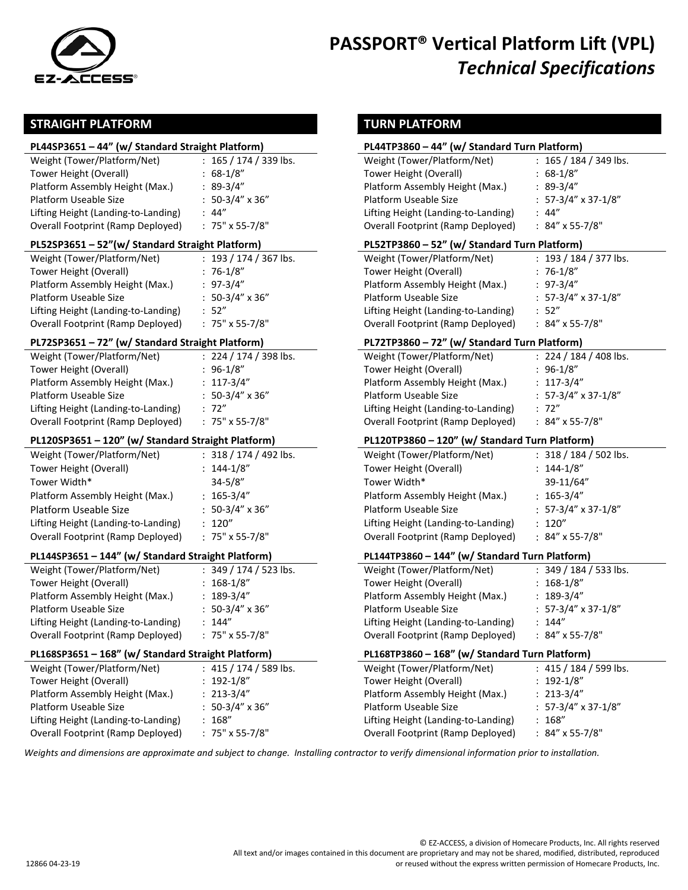

# **PASSPORT® Vertical Platform Lift (VPL)** *Technical Specifications*

#### **STRAIGHT PLATFORM TURN PLATFORM**

#### **PL44SP3651 – 44" (w/ Standard Straight Platform) PL44TP3860 – 44" (w/ Standard Turn Platform)**

| Weight (Tower/Platform/Net)         | $: 165 / 174 / 339$ lbs. | Weight (Tower/Platform/Net)         | : 165 / 184 / 34           |
|-------------------------------------|--------------------------|-------------------------------------|----------------------------|
| Tower Height (Overall)              | $: 68-1/8"$              | Tower Height (Overall)              | $: 68-1/8"$                |
| Platform Assembly Height (Max.)     | $: 89-3/4"$              | Platform Assembly Height (Max.)     | $: 89-3/4"$                |
| Platform Useable Size               | $: 50-3/4" \times 36"$   | Platform Useable Size               | $: 57-3/4" \times 37-$     |
| Lifting Height (Landing-to-Landing) | .44''                    | Lifting Height (Landing-to-Landing) | : 44''                     |
| Overall Footprint (Ramp Deployed)   | $: 75" \times 55-7/8"$   | Overall Footprint (Ramp Deployed)   | : $84'' \times 55 - 7/8''$ |

#### **PL52SP3651 – 52"(w/ Standard Straight Platform) PL52TP3860 – 52" (w/ Standard Turn Platform)**

| : $193 / 174 / 367$ lbs. | Weight (Tower/Platform/Net)         | : 193 / 184 / 3            |
|--------------------------|-------------------------------------|----------------------------|
| $: 76-1/8"$              | Tower Height (Overall)              | $: 76-1/8"$                |
| $: 97-3/4"$              | Platform Assembly Height (Max.)     | $: 97-3/4"$                |
| $: 50-3/4" \times 36"$   | Platform Useable Size               | $: 57-3/4" \times 37$      |
| : 52"                    | Lifting Height (Landing-to-Landing) | $\therefore$ 52"           |
| $: 75" \times 55-7/8"$   | Overall Footprint (Ramp Deployed)   | $: 84'' \times 55 - 7/8''$ |
|                          |                                     |                            |

#### **PL72SP3651 – 72" (w/ Standard Straight Platform) PL72TP3860 – 72" (w/ Standard Turn Platform)**

| Weight (Tower/Platform/Net)         | $: 224 / 174 / 398$ lbs. | Weight (Tower/Platform/Net)         | : 224 / 184 / 40           |
|-------------------------------------|--------------------------|-------------------------------------|----------------------------|
| Tower Height (Overall)              | : 96-1/8"                | Tower Height (Overall)              | $: 96-1/8"$                |
| Platform Assembly Height (Max.)     | $: 117-3/4"$             | Platform Assembly Height (Max.)     | $: 117-3/4"$               |
| Platform Useable Size               | $: 50-3/4" \times 36"$   | Platform Useable Size               | $: 57-3/4" \times 37-$     |
| Lifting Height (Landing-to-Landing) | : 72"                    | Lifting Height (Landing-to-Landing) | : 72"                      |
| Overall Footprint (Ramp Deployed)   | $: 75" \times 55-7/8"$   | Overall Footprint (Ramp Deployed)   | $: 84'' \times 55 - 7/8''$ |

#### **PL120SP3651 – 120" (w/ Standard Straight Platform) PL120TP3860 – 120" (w/ Standard Turn Platform)**

| Weight (Tower/Platform/Net)         | $: 318 / 174 / 492$ lbs. | Weight (Tower/Platform/Net)         | : 318 / 184         |
|-------------------------------------|--------------------------|-------------------------------------|---------------------|
| Tower Height (Overall)              | $: 144 - 1/8"$           | Tower Height (Overall)              | $: 144 - 1/8"$      |
| Tower Width*                        | $34 - 5/8"$              | Tower Width*                        | 39-11/64"           |
| Platform Assembly Height (Max.)     | $: 165 - 3/4"$           | Platform Assembly Height (Max.)     | $: 165-3/4"$        |
| Platform Useable Size               | $: 50-3/4" \times 36"$   | Platform Useable Size               | $: 57-3/4"$ x       |
| Lifting Height (Landing-to-Landing) | : 120''                  | Lifting Height (Landing-to-Landing) | : 120''             |
| Overall Footprint (Ramp Deployed)   | : $75" \times 55-7/8"$   | Overall Footprint (Ramp Deployed)   | $: 84" \times 55-7$ |

#### **PL144SP3651 – 144" (w/ Standard Straight Platform) PL144TP3860 – 144" (w/ Standard Turn Platform)**

| Weight (Tower/Platform/Net)         | : $349 / 174 / 523$ lbs. | Weight (Tower/Platform/Net)         | : 349 / 184 / 51           |
|-------------------------------------|--------------------------|-------------------------------------|----------------------------|
| Tower Height (Overall)              | 168-1/8"                 | Tower Height (Overall)              | $: 168-1/8"$               |
| Platform Assembly Height (Max.)     | 189-3/4"                 | Platform Assembly Height (Max.)     | $: 189-3/4"$               |
| Platform Useable Size               | $50-3/4''$ x 36"         | Platform Useable Size               | $: 57-3/4" \times 37-$     |
| Lifting Height (Landing-to-Landing) | 144"                     | Lifting Height (Landing-to-Landing) | : 144''                    |
| Overall Footprint (Ramp Deployed)   | $: 75" \times 55-7/8"$   | Overall Footprint (Ramp Deployed)   | : $84'' \times 55 - 7/8''$ |
|                                     |                          |                                     |                            |

#### **PL168SP3651 – 168" (w/ Standard Straight Platform) PL168TP3860 – 168" (w/ Standard Turn Platform)**

| Weight (Tower/Platform/Net)         | : $415 / 174 / 589$ lbs. | Weight (Tower/Platform/Net)         | : 415 / 184 / 599 lb       |
|-------------------------------------|--------------------------|-------------------------------------|----------------------------|
| Tower Height (Overall)              | $: 192 - 1/8"$           | Tower Height (Overall)              | $: 192 - 1/8"$             |
| Platform Assembly Height (Max.)     | $: 213-3/4"$             | Platform Assembly Height (Max.)     | $: 213-3/4"$               |
| Platform Useable Size               | $: 50-3/4" \times 36"$   | Platform Useable Size               | $: 57-3/4" \times 37-1/8"$ |
| Lifting Height (Landing-to-Landing) | : 168''                  | Lifting Height (Landing-to-Landing) | : 168''                    |
| Overall Footprint (Ramp Deployed)   | $: 75" \times 55-7/8"$   | Overall Footprint (Ramp Deployed)   | $: 84'' \times 55 - 7/8''$ |

| PL44SP3651 - 44" (w/ Standard Straight Platform)                                                                                                                                                                                                                                                                                                                                                                                                  |                                                                                                                                                                                                                                             |                                                                                                                                                                                                                                                                                                                                                                                                                                                       | PL44TP3860 - 44" (w/ Standard Turn Platform)                                                                                                                                                                                               |  |
|---------------------------------------------------------------------------------------------------------------------------------------------------------------------------------------------------------------------------------------------------------------------------------------------------------------------------------------------------------------------------------------------------------------------------------------------------|---------------------------------------------------------------------------------------------------------------------------------------------------------------------------------------------------------------------------------------------|-------------------------------------------------------------------------------------------------------------------------------------------------------------------------------------------------------------------------------------------------------------------------------------------------------------------------------------------------------------------------------------------------------------------------------------------------------|--------------------------------------------------------------------------------------------------------------------------------------------------------------------------------------------------------------------------------------------|--|
| Weight (Tower/Platform/Net)<br>Tower Height (Overall)<br>Platform Assembly Height (Max.)<br>Platform Useable Size<br>Lifting Height (Landing-to-Landing)<br>Overall Footprint (Ramp Deployed)<br>PL52SP3651 - 52"(w/ Standard Straight Platform)<br>Weight (Tower/Platform/Net)<br>Tower Height (Overall)<br>Platform Assembly Height (Max.)<br>Platform Useable Size<br>Lifting Height (Landing-to-Landing)<br>Overall Footprint (Ramp Deployed) | $: 165 / 174 / 339$ lbs.<br>$: 68-1/8"$<br>$: 89-3/4"$<br>$: 50-3/4" \times 36"$<br>: 44''<br>: $75" \times 55-7/8"$<br>: $193 / 174 / 367$ lbs.<br>$: 76-1/8"$<br>$: 97-3/4"$<br>$: 50-3/4" \times 36"$<br>: 52"<br>: $75" \times 55-7/8"$ | Weight (Tower/Platform/Net)<br>Tower Height (Overall)<br>Platform Assembly Height (Max.)<br>Platform Useable Size<br>Lifting Height (Landing-to-Landing)<br><b>Overall Footprint (Ramp Deployed)</b><br>PL52TP3860 - 52" (w/ Standard Turn Platform)<br>Weight (Tower/Platform/Net)<br>Tower Height (Overall)<br>Platform Assembly Height (Max.)<br>Platform Useable Size<br>Lifting Height (Landing-to-Landing)<br>Overall Footprint (Ramp Deployed) | : $165 / 184 / 349$ lbs.<br>$: 68-1/8"$<br>$: 89-3/4"$<br>$: 57-3/4" \times 37-1/8"$<br>: 44"<br>: $84''$ x 55-7/8"<br>: $193 / 184 / 377$ lbs.<br>$: 76-1/8"$<br>$: 97-3/4"$<br>$: 57-3/4" \times 37-1/8"$<br>: 52"<br>: $84''$ x 55-7/8" |  |
| PL72SP3651 - 72" (w/ Standard Straight Platform)                                                                                                                                                                                                                                                                                                                                                                                                  |                                                                                                                                                                                                                                             | PL72TP3860 - 72" (w/ Standard Turn Platform)                                                                                                                                                                                                                                                                                                                                                                                                          |                                                                                                                                                                                                                                            |  |
| Weight (Tower/Platform/Net)<br>Tower Height (Overall)<br>Platform Assembly Height (Max.)<br>Platform Useable Size<br>Lifting Height (Landing-to-Landing)<br>Overall Footprint (Ramp Deployed)                                                                                                                                                                                                                                                     | $: 224 / 174 / 398$ lbs.<br>$: 96-1/8"$<br>$: 117-3/4"$<br>$: 50-3/4" \times 36"$<br>: 72"<br>: $75" \times 55-7/8"$                                                                                                                        | Weight (Tower/Platform/Net)<br>Tower Height (Overall)<br>Platform Assembly Height (Max.)<br>Platform Useable Size<br>Lifting Height (Landing-to-Landing)<br><b>Overall Footprint (Ramp Deployed)</b>                                                                                                                                                                                                                                                  | $: 224 / 184 / 408$ lbs.<br>$: 96-1/8"$<br>$: 117-3/4"$<br>: $57-3/4''$ x 37-1/8"<br>: 72"<br>: $84''$ x 55-7/8"                                                                                                                           |  |
| PL120SP3651 - 120" (w/ Standard Straight Platform)                                                                                                                                                                                                                                                                                                                                                                                                |                                                                                                                                                                                                                                             | PL120TP3860 - 120" (w/ Standard Turn Platform)                                                                                                                                                                                                                                                                                                                                                                                                        |                                                                                                                                                                                                                                            |  |
| Weight (Tower/Platform/Net)<br>Tower Height (Overall)<br>Tower Width*<br>Platform Assembly Height (Max.)<br>Platform Useable Size<br>Lifting Height (Landing-to-Landing)<br>Overall Footprint (Ramp Deployed)                                                                                                                                                                                                                                     | : $318 / 174 / 492$ lbs.<br>$: 144-1/8"$<br>$34 - 5/8"$<br>$: 165-3/4"$<br>$: 50-3/4" \times 36"$<br>: 120''<br>: $75" \times 55-7/8"$                                                                                                      | Weight (Tower/Platform/Net)<br>Tower Height (Overall)<br>Tower Width*<br>Platform Assembly Height (Max.)<br>Platform Useable Size<br>Lifting Height (Landing-to-Landing)<br>Overall Footprint (Ramp Deployed)                                                                                                                                                                                                                                         | : $318 / 184 / 502$ lbs.<br>$: 144-1/8"$<br>39-11/64"<br>$: 165-3/4"$<br>: $57-3/4''$ x 37-1/8"<br>: 120''<br>: $84''$ x 55-7/8"                                                                                                           |  |
| PL144SP3651 - 144" (w/ Standard Straight Platform)                                                                                                                                                                                                                                                                                                                                                                                                |                                                                                                                                                                                                                                             | PL144TP3860 - 144" (w/ Standard Turn Platform)                                                                                                                                                                                                                                                                                                                                                                                                        |                                                                                                                                                                                                                                            |  |
| Weight (Tower/Platform/Net)<br>Tower Height (Overall)<br>Platform Assembly Height (Max.)<br>Platform Useable Size<br>Lifting Height (Landing-to-Landing)<br>Overall Footprint (Ramp Deployed)                                                                                                                                                                                                                                                     | : $349 / 174 / 523$ lbs.<br>$: 168-1/8"$<br>$: 189-3/4"$<br>$: 50-3/4" \times 36"$<br>: 144''<br>: $75" \times 55-7/8"$                                                                                                                     | Weight (Tower/Platform/Net)<br>Tower Height (Overall)<br>Platform Assembly Height (Max.)<br>Platform Useable Size<br>Lifting Height (Landing-to-Landing)<br><b>Overall Footprint (Ramp Deployed)</b>                                                                                                                                                                                                                                                  | : $349 / 184 / 533$ lbs.<br>$: 168-1/8"$<br>$: 189-3/4"$<br>$: 57-3/4" \times 37-1/8"$<br>: 144''<br>: $84''$ x 55-7/8"                                                                                                                    |  |
| PL168SP3651 - 168" (w/ Standard Straight Platform)                                                                                                                                                                                                                                                                                                                                                                                                |                                                                                                                                                                                                                                             | PL168TP3860 - 168" (w/ Standard Turn Platform)                                                                                                                                                                                                                                                                                                                                                                                                        |                                                                                                                                                                                                                                            |  |
| Weight (Tower/Platform/Net)<br>Tower Height (Overall)<br>Platform Assembly Height (Max.)<br>Platform Useable Size<br>Lifting Height (Landing-to-Landing)<br>Overall Footprint (Ramp Deployed)                                                                                                                                                                                                                                                     | : $415 / 174 / 589$ lbs.<br>$: 192-1/8"$<br>$: 213-3/4"$<br>$: 50-3/4" \times 36"$<br>: 168''<br>: $75" \times 55-7/8"$                                                                                                                     | Weight (Tower/Platform/Net)<br>Tower Height (Overall)<br>Platform Assembly Height (Max.)<br>Platform Useable Size<br>Lifting Height (Landing-to-Landing)<br><b>Overall Footprint (Ramp Deployed)</b>                                                                                                                                                                                                                                                  | : $415 / 184 / 599$ lbs.<br>$: 192 - 1/8"$<br>$: 213-3/4"$<br>57-3/4" x 37-1/8"<br>: 168''<br>: $84''$ x 55-7/8"                                                                                                                           |  |
|                                                                                                                                                                                                                                                                                                                                                                                                                                                   |                                                                                                                                                                                                                                             |                                                                                                                                                                                                                                                                                                                                                                                                                                                       |                                                                                                                                                                                                                                            |  |

*Weights and dimensions are approximate and subject to change. Installing contractor to verify dimensional information prior to installation.*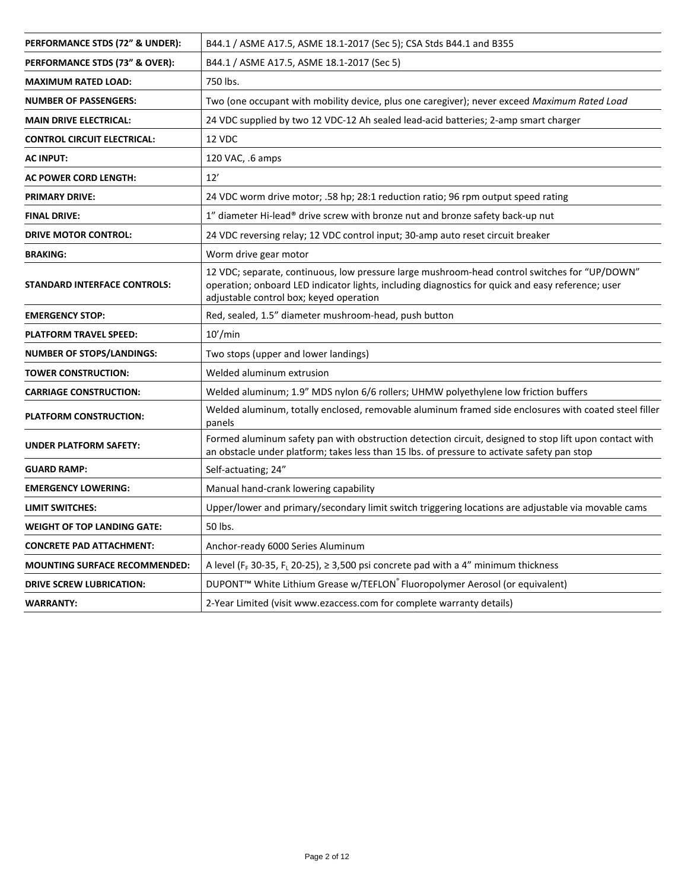| PERFORMANCE STDS (72" & UNDER):      | B44.1 / ASME A17.5, ASME 18.1-2017 (Sec 5); CSA Stds B44.1 and B355                                                                                                                                                                           |
|--------------------------------------|-----------------------------------------------------------------------------------------------------------------------------------------------------------------------------------------------------------------------------------------------|
| PERFORMANCE STDS (73" & OVER):       | B44.1 / ASME A17.5, ASME 18.1-2017 (Sec 5)                                                                                                                                                                                                    |
| <b>MAXIMUM RATED LOAD:</b>           | 750 lbs.                                                                                                                                                                                                                                      |
| <b>NUMBER OF PASSENGERS:</b>         | Two (one occupant with mobility device, plus one caregiver); never exceed Maximum Rated Load                                                                                                                                                  |
| <b>MAIN DRIVE ELECTRICAL:</b>        | 24 VDC supplied by two 12 VDC-12 Ah sealed lead-acid batteries; 2-amp smart charger                                                                                                                                                           |
| <b>CONTROL CIRCUIT ELECTRICAL:</b>   | 12 VDC                                                                                                                                                                                                                                        |
| <b>AC INPUT:</b>                     | 120 VAC, .6 amps                                                                                                                                                                                                                              |
| <b>AC POWER CORD LENGTH:</b>         | 12'                                                                                                                                                                                                                                           |
| <b>PRIMARY DRIVE:</b>                | 24 VDC worm drive motor; .58 hp; 28:1 reduction ratio; 96 rpm output speed rating                                                                                                                                                             |
| <b>FINAL DRIVE:</b>                  | 1" diameter Hi-lead® drive screw with bronze nut and bronze safety back-up nut                                                                                                                                                                |
| <b>DRIVE MOTOR CONTROL:</b>          | 24 VDC reversing relay; 12 VDC control input; 30-amp auto reset circuit breaker                                                                                                                                                               |
| <b>BRAKING:</b>                      | Worm drive gear motor                                                                                                                                                                                                                         |
| <b>STANDARD INTERFACE CONTROLS:</b>  | 12 VDC; separate, continuous, low pressure large mushroom-head control switches for "UP/DOWN"<br>operation; onboard LED indicator lights, including diagnostics for quick and easy reference; user<br>adjustable control box; keyed operation |
| <b>EMERGENCY STOP:</b>               | Red, sealed, 1.5" diameter mushroom-head, push button                                                                                                                                                                                         |
| <b>PLATFORM TRAVEL SPEED:</b>        | 10'/min                                                                                                                                                                                                                                       |
| <b>NUMBER OF STOPS/LANDINGS:</b>     | Two stops (upper and lower landings)                                                                                                                                                                                                          |
| <b>TOWER CONSTRUCTION:</b>           | Welded aluminum extrusion                                                                                                                                                                                                                     |
| <b>CARRIAGE CONSTRUCTION:</b>        | Welded aluminum; 1.9" MDS nylon 6/6 rollers; UHMW polyethylene low friction buffers                                                                                                                                                           |
| <b>PLATFORM CONSTRUCTION:</b>        | Welded aluminum, totally enclosed, removable aluminum framed side enclosures with coated steel filler<br>panels                                                                                                                               |
| <b>UNDER PLATFORM SAFETY:</b>        | Formed aluminum safety pan with obstruction detection circuit, designed to stop lift upon contact with<br>an obstacle under platform; takes less than 15 lbs. of pressure to activate safety pan stop                                         |
| <b>GUARD RAMP:</b>                   | Self-actuating; 24"                                                                                                                                                                                                                           |
| <b>EMERGENCY LOWERING:</b>           | Manual hand-crank lowering capability                                                                                                                                                                                                         |
| LIMIT SWITCHES:                      | Upper/lower and primary/secondary limit switch triggering locations are adjustable via movable cams                                                                                                                                           |
| <b>WEIGHT OF TOP LANDING GATE:</b>   | 50 lbs.                                                                                                                                                                                                                                       |
| <b>CONCRETE PAD ATTACHMENT:</b>      | Anchor-ready 6000 Series Aluminum                                                                                                                                                                                                             |
| <b>MOUNTING SURFACE RECOMMENDED:</b> | A level (F <sub>F</sub> 30-35, F <sub>L</sub> 20-25), $\geq$ 3,500 psi concrete pad with a 4" minimum thickness                                                                                                                               |
| <b>DRIVE SCREW LUBRICATION:</b>      | DUPONT <sup>™</sup> White Lithium Grease w/TEFLON <sup>®</sup> Fluoropolymer Aerosol (or equivalent)                                                                                                                                          |
| <b>WARRANTY:</b>                     | 2-Year Limited (visit www.ezaccess.com for complete warranty details)                                                                                                                                                                         |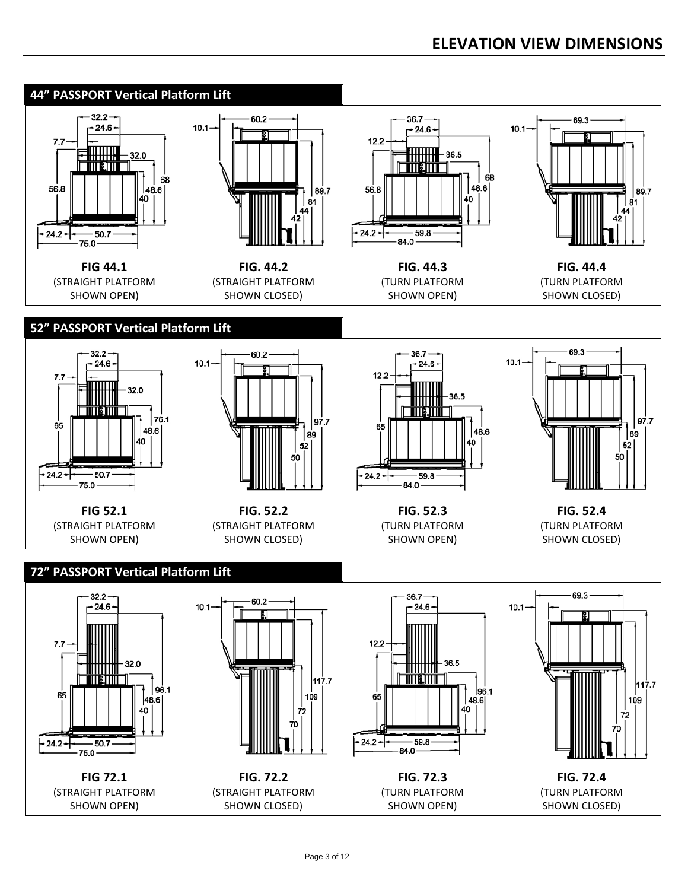### **ELEVATION VIEW DIMENSIONS**

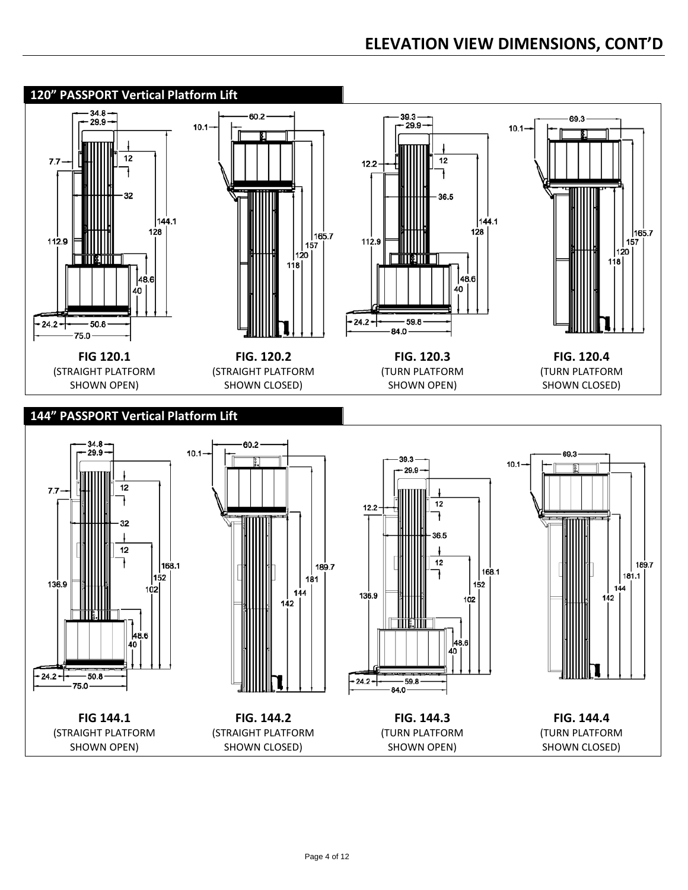## **ELEVATION VIEW DIMENSIONS, CONT'D**

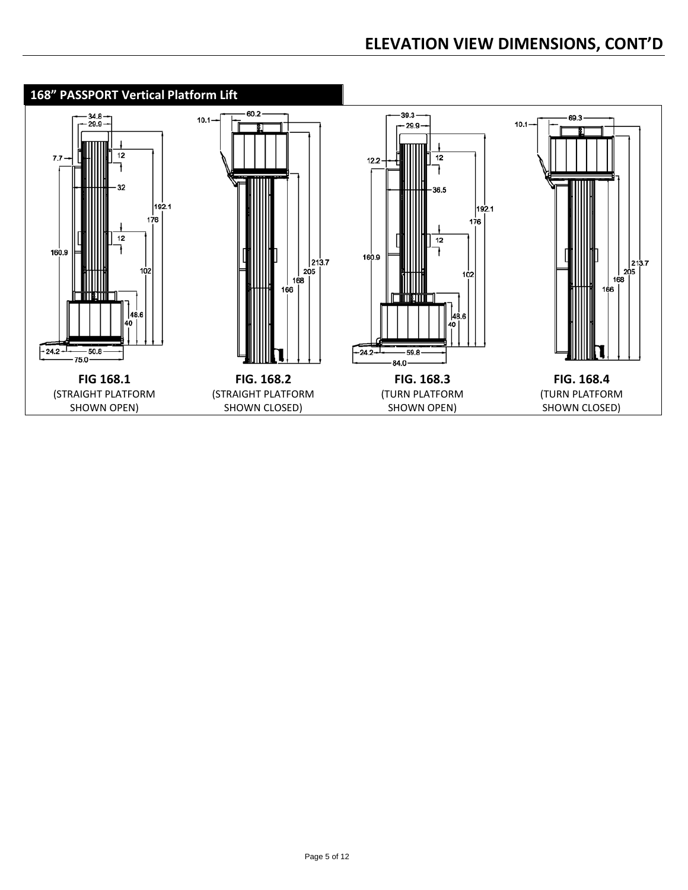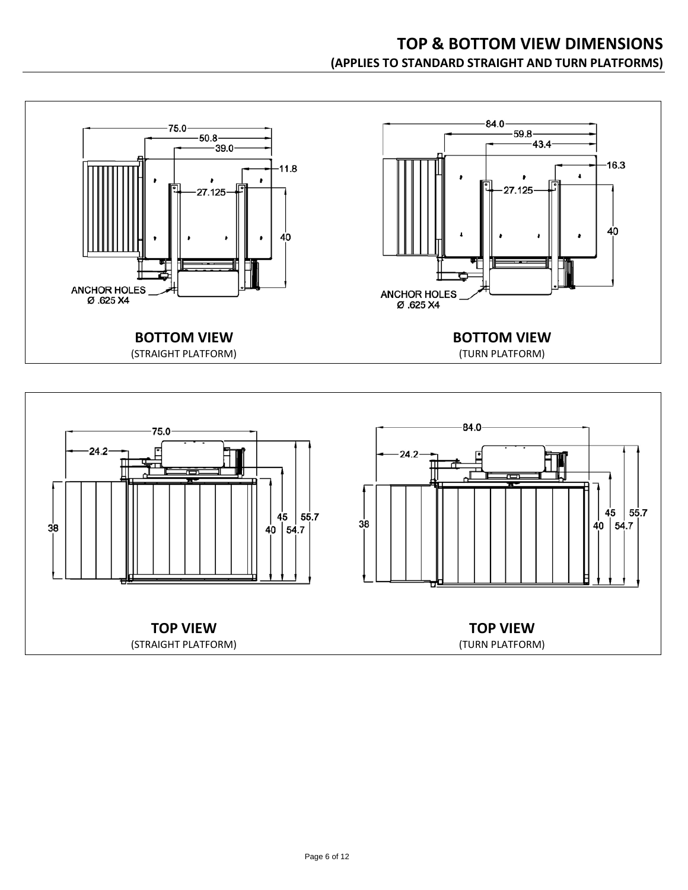

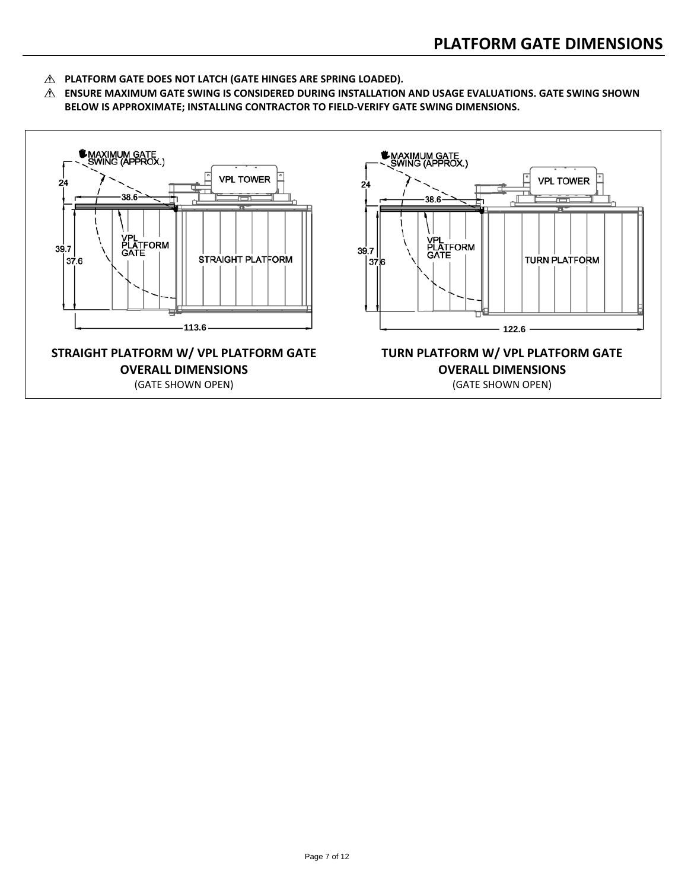- **PLATFORM GATE DOES NOT LATCH (GATE HINGES ARE SPRING LOADED).**
- **ENSURE MAXIMUM GATE SWING IS CONSIDERED DURING INSTALLATION AND USAGE EVALUATIONS. GATE SWING SHOWN BELOW IS APPROXIMATE; INSTALLING CONTRACTOR TO FIELD-VERIFY GATE SWING DIMENSIONS.**

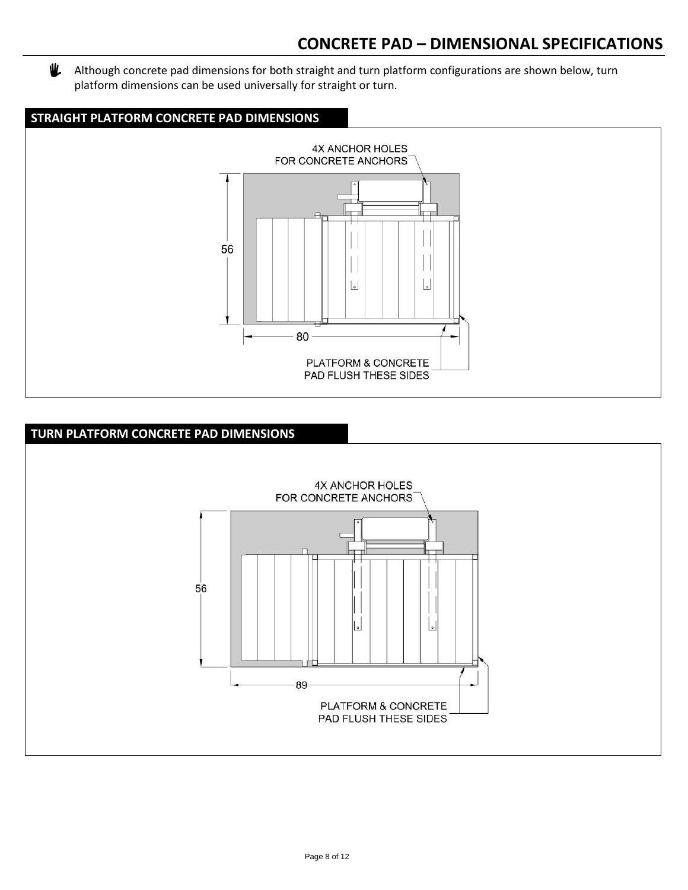### **CONCRETE PAD – DIMENSIONAL SPECIFICATIONS**

业 Although concrete pad dimensions for both straight and turn platform configurations are shown below, turn platform dimensions can be used universally for straight or turn.



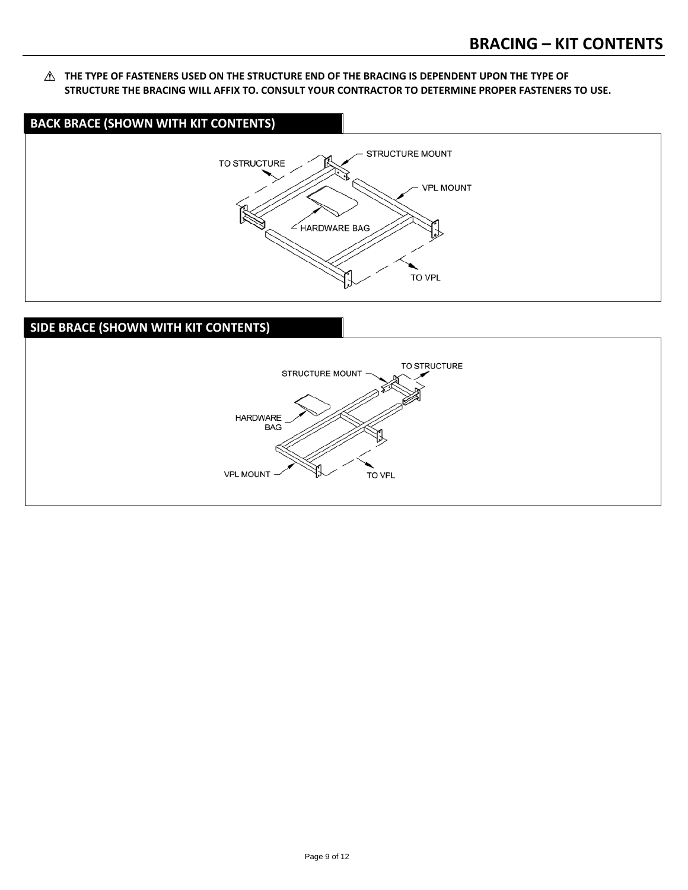**THE TYPE OF FASTENERS USED ON THE STRUCTURE END OF THE BRACING IS DEPENDENT UPON THE TYPE OF STRUCTURE THE BRACING WILL AFFIX TO. CONSULT YOUR CONTRACTOR TO DETERMINE PROPER FASTENERS TO USE.**



### **SIDE BRACE (SHOWN WITH KIT CONTENTS)**

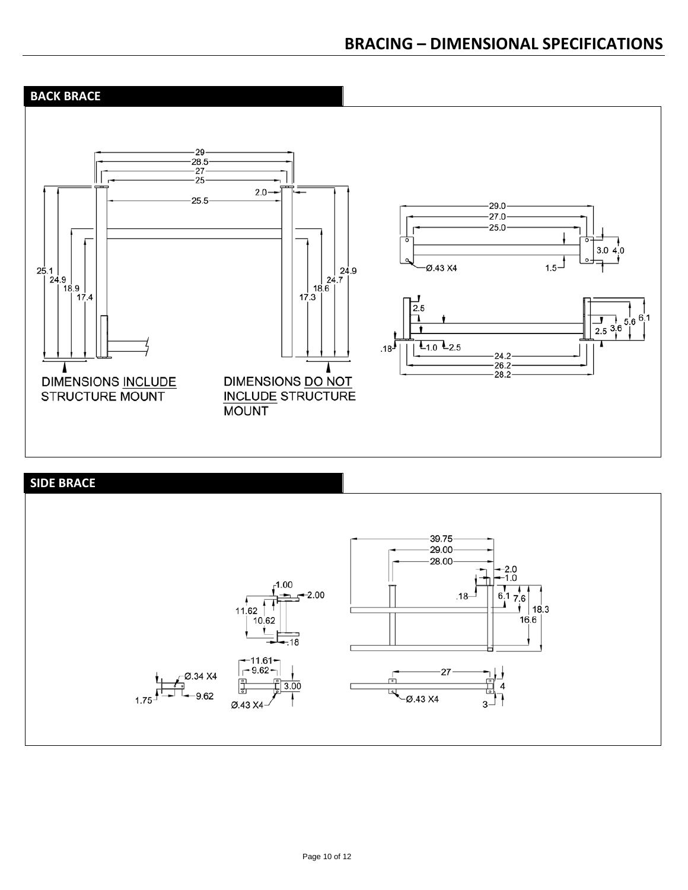

### **SIDE BRACE**

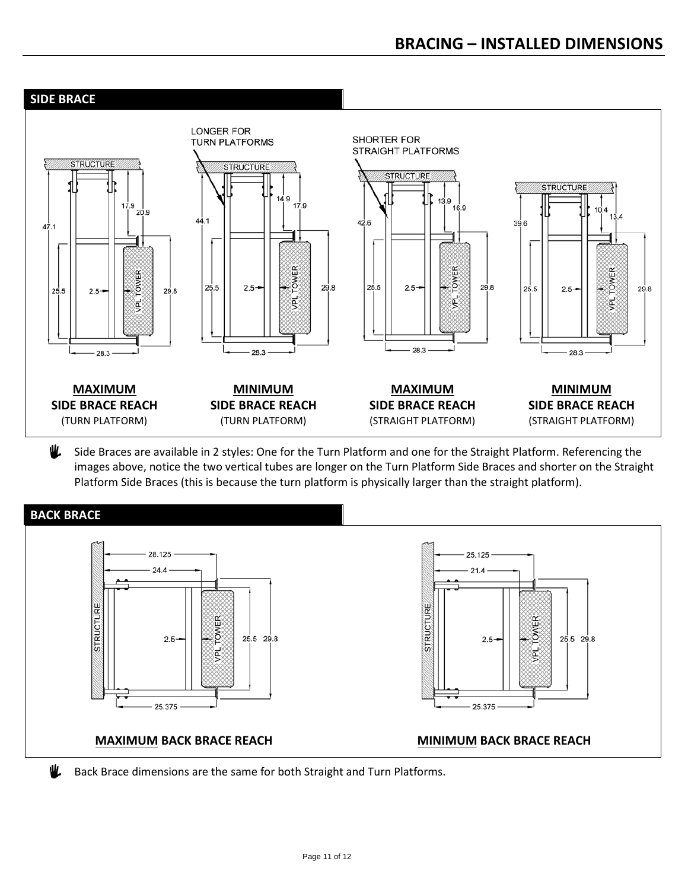

业 Side Braces are available in 2 styles: One for the Turn Platform and one for the Straight Platform. Referencing the images above, notice the two vertical tubes are longer on the Turn Platform Side Braces and shorter on the Straight Platform Side Braces (this is because the turn platform is physically larger than the straight platform).



Back Brace dimensions are the same for both Straight and Turn Platforms.